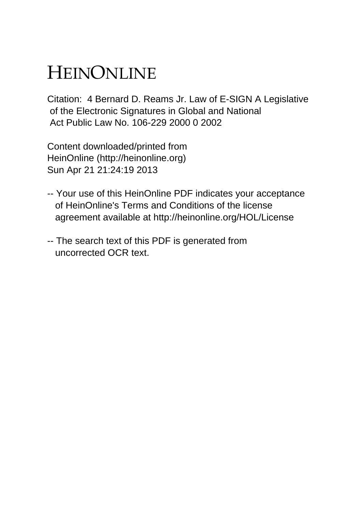# HEINONLINE

Citation: 4 Bernard D. Reams Jr. Law of E-SIGN A Legislative of the Electronic Signatures in Global and National Act Public Law No. 106-229 2000 0 2002

Content downloaded/printed from HeinOnline (http://heinonline.org) Sun Apr 21 21:24:19 2013

- -- Your use of this HeinOnline PDF indicates your acceptance of HeinOnline's Terms and Conditions of the license agreement available at http://heinonline.org/HOL/License
- -- The search text of this PDF is generated from uncorrected OCR text.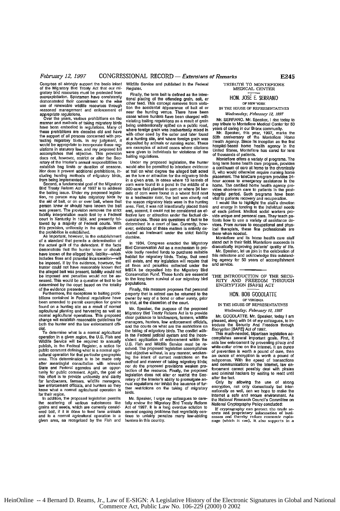# CONGRESSIONAL RECORD - Extensions of Remarks

Congress all strongly support the basic intent of the Migratory Bird Treaty Act that our migratory bird resources must be protected from overexploitation. Sportsmen have consistently demonstrated their commitment to the wise use of renewable wildlife resources through reasoned management and enforcement of<br>appropriate regulations.

Over the years, various prohibitions on the<br>manner and methods of taking migratory birds have been embodied in regulations. Many of these prohibitions are decades old and have the support of all persons concerned with protecting migratory birds. In my judgment, it<br>would be appropriate to incorporate these regincludions in statutory law, and my proposed bill<br>accomplishes that objective. This provision<br>does not, however, restrict or alter the Sec-<br>retary of the Interior's annual responsibilities to establish bag limits or duration of seasons. examini bay mims or determined in the season.<br>Nor does it prevent additional prohibitions, in-<br>cluding hunting methods of migratory birds,<br>from being implemented.

Bird Treaty Reform Act of 1997 is to address<br>the baiting issue. Under my proposed legislation, no person may take migratory birds by<br>the aid of bait, or on or over bait, where that person knew or should have known the bait was present. The provision removes the strict liability interpretation made first by a Federal court in Kentucky in 1939, and presently followed by a majority of Federal courts. With this provision, uniformity in the application of the prohibition is established.

the income of a standard that permits a determination of<br>the actual guilt of the defendant. If the facts demonstrate that the hunter knew or should have known of the alleged bait, liability—which includes fines and potential incarceration-will be imposed. If by the evidence, however, the hunter could not have reasonably known that the alleged bait was present, liability would not be imposed and penalties would not be assessed. This would be a question of fact to be determined by the court based on the totality of the evidence presented.<br>Furthermore, the exceptions to baiting prohi-

bitions contained in Federal regulations have been amended to permit exemption for grains found on a hunting site as a result of normal stational planting and harvesting as well as<br>a normal agricultural planting and harvesting as well as<br>normal agricultural operations. This proposed<br>change will establish reasonable guidelines for both the hunter and the law enforcement officia

To determine what is a normal agricultural operation in a given region, the U.S. Fish and Wildlife Service will be required to annually<br>publish, in the Federal Register, a notice for public comment defining what is a normal agricultural operation for that particular geographic<br>area. This determination is to be made only after meaningful consultation with relevant State and Federal agencies and an opportunity for public comment. Again, the goal of<br>this effort is to provide uniformity and clarity for landowners, farmers, wildlife managers,<br>law enforcement officials, and hunters so they know what a normal agricultural operation is for their region.

In addition, the proposed legislation permits the scattering of various substances like<br>grains and seeds, which are currently considered bait, if it is done to feed farm animals<br>and is a normal agricultural operation in a given area, as recognized by the Fish and Wildlife Service and published in the Federal Recister.

Finally, the term bait is defined as the intentional placing of the offending grain, salt, or other feed. This concept removes from viola-<br>tion the accidental appearance of bait at or near the hunting venue. There have been cases where hunters have heen charged with violating baiting regulations as a result of grain being unintentionally spilled on a public road, where foreign grain was inadvertently mixed in with other seed by the seller and later found at a hunting site, and where foreign grain was deposited by animals or running water. These are examples of actual cases where citations<br>were given to individuals for violations of the baiting regulations.

Under my proposed legislation, the hunter would also be permitted to introduce evidence at trail on what degree the alleged bait acted<br>as the lure or attraction for the migratory birds in a given area. In cases where 13 kemels of com were found in a pond in the middle of a<br>300-acre field planted in com or where 34 kernels of com were found in a wheat field next to a freshwater river, the bait was clearly not the reason migratory birds were in the hunting<br>area. First, it was not intentionally placed there and, second, it could not be considered an effective lure or attraction under the factual circumstances. These are questions of fact to be determined in a court of law. Currently, however, evidence of these matters is entirely excluded as irrelevant under the strict liability doctrine.

In 1934, Congress enacted the Migratory Bird Conservation Act as a mechanism to pro biddle badly needed funds to purchase suitable<br>vide badly needed funds to purchase suitable<br>habitat for migratory birds. Today, that need<br>still exists, and my legislation will require that all fines and penalties collected under MBTA be deposited into the Migratory Bird<br>Conservation Fund. These funds are essential to the long-term survival of our migratory bird populations.

Finally, this measure proposes that personal property that is seized can be returned to the owner by way of a bond or other surety, prior to trial, at the discretion of the court

Mr. Speaker, the purpose of the proposed Migratory Bird Treaty Reform Act is to provide clear guidance to landowners, farmers, wildlife<br>managers, hunters, law enforcement officials, and the courts on what are the restrictions on the taking of migratory birds. The conflict with-<br>in the Federal judicial system and the inconsistent application of enforcement within the U.S. Fish and Wildlife Service must be resolved. The proposed legislation accomplishes that objective without, in any manner, weakening the intent of current restrictions on the method and manner of taking migratory birds;<br>nor do the proposed provisions weaken protection of the resource. Finally, the proposed legislation does not alter or restrict the Secrelary of the Interior's ability to promulgate annual regulations nor inhibit the issuance of further restrictions on the taking of migratory birds.

Mr. Speaker, I urge my colleagues to carefully review the Migratory Bird Treaty Reform<br>Act of 1997. It is a long overdue solution to<br>several ongoing problems that regrettably continue to unfairly penalize many law-abiding hunters in this country.

TRIBUTE TO MONTEFIORE<br>MEDICAL CENTER

# HON. JOSÉ E. SERRANO OF NEW YORK

IN THE HOUSE OF REPRESENTATIVES Wednesday, February 12, 1997

Mr. SERRANO. Mr. Speaker, I rise today to pay tribute to Montefiore Medical Center for 50

pay motor to Montenore Mercular Crossov<br>years of caring in our Bronx community.<br>Mr. Speaker, this year, 1997, marks the<br>50th anniversary of the Montefiore Home<br>Health Agency. Since its inception as the first<br>hospital-based of thousands of patients.<br>Montefiore offers a variety of programs. The

long term home health care program, provides a continuum of care at home to the chronically ill, who would otherwise require nursing home placement. The teleCare program provides 24hour access to emergency assistance in the<br>home. The certified home health agency provides short-term care to patients in the posthospital period. Such programs have been vital to patients recovery and recuperation.<br>I would like to highlight the staff's devotion

and energy in tending to the individual needs<br>of each patient. Medical social workers provide unique and personal care. They teach pa-<br>tients how to use a variety of assistance devices. From nurses to occupational and physical therapists, these fine professionals are<br>there when needed.

Montefiore and its home health care staff<br>stand out in their field. Montefiore succeeds in dramatically improving patients' quality of life.

Mr. Speaker, let us join in the celebration of<br>this milestone and acknowledge this outstanding agency for 50 years of accomplishment and service.

THE INTRODUCTION OF THE SECURITY AND FREEDOM THROUGH ENCRYPTION [SAFE] ACT

### HON. BOB GOODLATTE OF VIRGINIA

IN THE HOUSE OF REPRESENTATIVES Wednesday, February 12, 1997

Mr. GOODLATTE. Mr. Speaker, today I am ences along with 54 of my colleagues, to in-<br>troduce the Security And Freedom through<br>Encryption ISAFEJ Act of 1997.

much-needed, bipartisan legislation accomplishes several important goals. First, it<br>aids law enforcement by preventing piracy and<br>white-collar crime on the Internet. It an ounce of prevention is worth a pound of cure, then<br>an ounce of encryption is worth a pound of<br>subpoenas. With the speed of transactions<br>and communications on the Internet, law enforcement cannot possibly deal with pirates<br>and criminal hackers by waiting to react until after the fact.

Only by allowing the use of strong<br>encryption, not only domestically but internationally as well, can we hope to make the Internet a safe and secure environment. As the National Research Council's Committee on National Cryptography Policy concluded:

The component of the component of the trade sected in the component of the content of the nesses and thereby reduce economic espinage (which it can), it also supports in a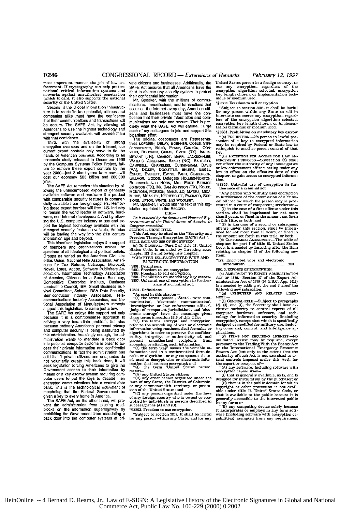most important manner the job of law en-<br>forcement. If cryptography can help protect.<br>national critical information systems and<br>networks against unauthorized penetration<br>(which it can), it also supports the national<br>securi

Second, if the Global Information Infrastructure is to reach its true potential, cidzens and companies alike **must** have *the* confidence that their communications and transactions will be secure. The SAFE Ant, **by** allowing all Americans to **use** the highest technology and strongest security available, will provide them with that **confidence.**

Third, with **(he** availability **of** strong encryption overseas and on the Internet, *our* current export controls *only* serve In **lie the** hands of American business. According to an economic study released **in** December **1995** by the Computer Systems Policy Project, fail**ure** to remove **(hose export** controls **by** *(he* year **2o00--just 3** short years **from** now-will **cost our** economy **\$60** billion and 200,000 **Jobs.**

The **SAFE Act** remedies this **situation** by allowing the unencumbered export **of** generally available software **and** hardware it a **product** with comparable security features is commer**cially available from** foreign suppliers. Remov-ing these expod barriers will free **U.S.** industry to remain the wodd leader in software, **hard**ware, **and** Intemot development. And **by** allow-Ing the **U.S.** computer industry to **use** and **ex**port the highest technology available with the strongest security features available, America will be leading the way into the **21st** century Information age and beyond.

This bipartisan legislation enjoys the support of members and organizations across (he spectrum of all ideological and political beliefs. Groups as varied as the American Civil Liberlies Union, National Rifle Association, Ameri**cans for** Tax Reform, Netscape, Microsoft, Novell, Lotus, Adobe, Software Publishers As-<br>sociation, Information Technology Association<br>of America, Clitzens for a Sound Economy,<br>Competitive Enterprise Inslitute, Business<br>Leadership Council, IBM, Small Business Sur**vival** Committee, Sybase, **RSA** Data Security, Semiconductor Industry Association, Telecommunications Industry Association, and Na-<br>tional Association of Manufacturers strongly supped this legislation, io name just a few.

The **SAFE** Act enjoys this support net only because it is a commonsense approach to **solving** a very immediate problem, but also because ordinary Americans' personal privacy and computer security is being assaulted by **this** administralion. Amazingly enough, the ad-ministration wants to mandate a back door into peoples' computer systems in order **to** acess their private information and confidential communications. In fact the administration **has** said that **if** private citizens and companies do not Voluntarily create this back door, it will seek legislation forcing Americans to give the Govemmeot access to their intormation by **means** of *a* key escrow system requiring com-puer users to put the **keys to** decode their encrypted communicalions **into** a central **data** bank. This is the technological equivalent of<br>mandating that the Federal Government be given a key to every home in America.

The **SAFE** Act, on the other hand, will pre-vent the administration from placing roadblocks on the information superhighway by prohibiting the Government from mandating a back door into the computer systems of priVate citizens and businesses. Additionally, the SAFE Act ensures that all Americans have (he right to choose any security system to protect<br>their confidential information.

**Mr.** Speaker, with the millions of communications, transmissions, **and transactions** that occur **on** the Intemet every day, American **ciizens and** businesses must **have** the conidence that their private information **and** commanications are **Safe and** secure. That **Is** pre-cisely what the **SAFE Act** will ensure. **I** urge each of my colleagues to join **and** support this bipartisan **effort.**

The original cosponsors are Representa**ives** LOFGREN, **DELAY, BOEHNER, COBLE,** Sn-**SENSRENNER, BONO, PEASE, CANNON, CON-YER** , **BOUCHER, GEKAS, SMITH** (TX), **INDUS,** BRYANT **jTN), CHABOT, ARR, JACKSON-LEE,** WATRS, **ACKERMAN, BAKER (NC), BARTLETT, CAMPBELL, CHAMELISS, CUNNINGHAM, DAVIS** (VA), DICKEY, DOOLITTLE, EHLERS, ENGEL,<br>ESHOO, EVERETT, EWING, FARR, GEJDENSON,<br>GILLMOR, GOODE, Delegate HOLMES-NORTON,<br>REPIPERSIMATIVES HORN, MIS. EDDIE BERNICE<br>JOHNSON (TX), MIT, SAM JOHNSON (TX), KOLBE, McINToSi, MoKEoN, **MANZULLO, MATUI, MICA,** MINGE, MOAKLEY, NETHERCLrTT, **PACKARD, SES-SIONS,** UPTON, WHITE, and WOOLSY. **Mr** Speaker, I would like the text of ihis leg-

islation reprinted in the RECORD.

Be **t** *enated* **by** the *Senat acdHoe* **dRep-**recectatires *of* the United *States of America* in **Congress assembled**, **SECTION 1. SHORT TITLE** 

This Act may **be** cited **as** the "Security and Freedom Through Encryption **(SAFE) Act". SEC. a. SALEAND USE OF** ENCRYPTION'

(a) IN **CEN AL-Pare I** of title **18.** United States Code, Is amended by inserting after chapter **121** the following **new** chapter:

"CHAPTER 122-ENCRYPTED WIRE AND ELECTRONIC INFORMATION

:2801. Definitions. 2802. Freedom to **use** encryption. **-2803** Freedom to sell ncapton. 100. Prohibition on man story key esrow. tilE Unlawful **use** of encryptins in torther-**ane** eta criminal act.

#### **§2801.** Definitions

"As used in this chapter-<br>"(1) the terms \*person', 'State', 'wire com-<br>munication', 'electronic communication',

'investigative or law enforcement officer',<br>
"investigative or law encodernation and 'elec-<br>
tronic storage' have the meanings given<br>
those terms in section 2510 of this title,<br>
"(2) the terms 'encrypt' and 'elecytion'<br>
o

again can be<br>the context of activities of and the term of matched respective and<br>accessing or altering; such information accessing or altering; such information<br>is information in the matched of matched information of<br>a use

 $\binom{100}{10}$  any United States citizen;<br> $\binom{10}{10}$  any other person organized under the<br>laws of any State, the District of Columbia,<br>or on one commonwealth, territory, or posses-<br> $\binom{100}{10}$  any person organized unde

trailed by individuals or persons described in subparagraphrs **(A)** and (B). **"A 2002.** Freedom to **coe** encryptlon

"Subject **to** section 2805, It shall be lawful **for** any peren within **any** State. and for ay

United States person in a foreign country. to me **any** encryption. regardless of the encryption algorithm selected, encryption key length chosen, or Implementation tech- nique **or** medium used.

**"§2803.** Freedom **to sell** encryption -Subject to section Z805. it shall be lawful

for any person within any State to sell in interstate commerce any encryption, regard**lts** of **the** encryption algorithm selected. **encryption** key length chosen, or implemen- tation technique or medium used.

**"§2804.** Prohibiion **on mandatory key erow** (a) PROHInnLON.-No person in lawful **pos-** session of a key to encrypted Informsation may **he** required by Federal or State **law** to relinquish to another person control of that<br>
key.<br>
"(B) Exception FOR Access for LAW EN-

FORCEMENT PURPOSES.—Subsection (a) shall<br>not affect the authority of any investigative<br>or law enforcement officer, acting under any<br>law in effect on the effective date of this<br>chapter, to gain access to encrypted informa-<br>

**'12805.** Unlawfl **coe** of encryption In far- therane **ofa** criminal **act**

**"Any** person who willfully **mes** encryptinn in frtherance of the commission of a crimiral offense for which the person may be pros-<br>ecuted in a court of competent jurisdiction-

(1) in the case of a first offense under this section, shall be imprisoned for not more than 5 years, or fined in the amount set forth in this title, or both; and<br>"in the amount set forth in this title, or both; and<br>"i"(2

offense under this second or subsequent<br>offense under this section, shall be impris-<br>oned for not more than 10 years, or fined in

the amount set forth in this title, or both.".<br>(b) CONFORMANO AMENOMENT...The table of<br>chapters for part I of title is, United States<br>Code, is amended by inserting after the item<br>relating to chapter 33 of the following new item:

"ti. Encrypted wire **and** electronic Information **.....................** . 2801".

**SEC, 3.** EXPORTS **OF ENCRYPTION.**

(a) AMENDMENT TO EXPORT ADMINISTRATION<br>ACT OF 1878.—Section 17 of the Export Administration Act of 1979 (60 U.S.C. App. 2416)<br>is amended by adding at the end thereof the<br>following new subsection:<br> $\frac{1}{100}$  COMPUTERS AND

 $\overline{u}(t)$  GENERAL RULE.—Subject to paragraphs<br>(2), (3), and (4), the Secretary shall have ex-<br>clusive authority to control exports of all<br>clusive authority to control exports of all<br>nology for information security (inclu encryption). except that which is specifically designed or modified for military **me.** includ- ing commend, control, **and** intelligence **op.** plications.<br>"(2) ITEMS NOT REQUIRING LICENSES.—No

"(2) ITEMS NOT REQUIRING LICENSES.—No<br>validated license may be required, except<br>pursuant to the Trading With the Enemy Act<br>or the International Emergency Economic<br>Powers Act (but only to the extent that the<br>authority of su tend controls imposed under this Act), for the export or reexport of-

"(A) any software, including software with<br>
"(A) any software, including software with<br>
"(1) that is generally available, as is, and is<br>
designed for installation by the purchaser; or<br>
"(ii) that is in the public domain fo

in any form: or -(B) any computing device solely besause it incorporates or employs in any form soft-ware (including software with encryption ca-pabilitie)c eompted **from any** requirement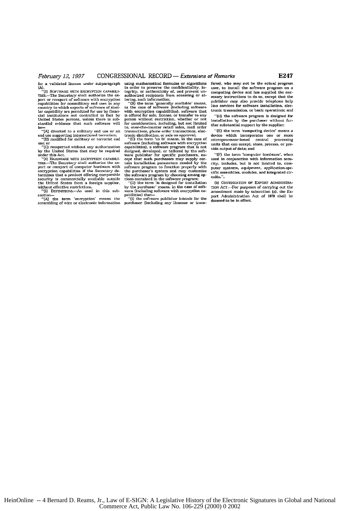# *February* 12, *1997* CONGRESSIONAL RECORD **-** Extensions of Remarks

for a validated license under subparagraph **(A).**<br> **(3) SOFTWARE WITH ENCRYPTION CAPABILI**<br> **Continent shall authorize the ex-**

TIES.—The Secretary shall authorize the ex-<br>port or reexport of software with encryption<br>capabilities for nonmilitary end uses in any<br>country to which exports of software of simi-<br>lar capability are permitted for use by fi cial institutions **not** controlled in fact by United States persons, unless there is sub. stantial evidence that such software will

**be-"(A)** diverted to a military end use **or** an **nd use** supporting international terrorism end use supporting international terrorism;<br>
"(B) modified for military or terrorist end

**.(C)** rexported without **any** authorization by the United States that may **be** required Under this Act.<br>by the United States that may be required<br>under this Act.<br>"(4) HARDWARE WITH ENCRYPTION CAPABILI-

**iES.-** The Secretary shall athorize the **ex-** port or roexport of computer hardware with encryption capabilities if the Secretary determines that a product offering comparable<br>security is commercially available outside<br>the United States from a foreign supplier. without effective restrictions.<br>
"(5) **DEFINITIONS.**—As used in this sub-

section-<br>
"(A) the term 'encryption' means the<br>
scrambling of wire or electronic information

using mathematical formulas or algorithms in order to presere the confidentiality. in- tegrity, or authenticity of. and prevent **un-**authorized recipients from acemsing or al-

tering, such information;<br>"(B) the term 'generally available' means<br>in the case of software (including software with encryption capabilities), software that<br>is offered for sale, liense, or transfer to any<br>person without restriction, whether or not<br>for consideration, including, but not limited<br>to, over-the-counter retail sales, mail

tronic distribution, or sale *on* opproval; **-(C)** the term 'as is' mean, in the case of software (including software with encryption capabilities), a software program that is not designed. developed. **or** tailored by the software publisher for specific purchasers, **ex- cept** that **such** purchasers may supply er-tain icatallation parameters needed **by** the software program to function properiy with the purchaser's system and may customize the software program by choosing among **op**tions contained in the software program: **-(D)** the term \*is designed **for** installation

**by** the purchaser' means, in the case of soft-ware (including software with encryption **ca-**

pobilities) that-<br>"(i) the software publisher intends for the<br>purchaser (including any licensee or trans-

feree). who may **not** be the actual program user, **to** install the software program on a computing device and has supplied the necessary instructions to do so, except that the publisher may also provide telephone help line services for software installation, electronic transission, or basic **operations;** and

**"(i)** the software program Is designed for Installation by the purchaser without fur-ther substantial support **by** the supplie.

**'(E)** the term 'computing device' means a device which incorporates one or more<br>
microprocessor-based central processing **units** that *can* accept, **store process, or pro**vide output of data: **and**

"(F) the term 'computer hardware'. when used in conjunction with information secucity, includes, but Is **not** linited to, com**puter** systems, equipment, applicatlon-spe-**cific** assemblies. modules. and integrated circuits.".

(b) CONTINUATION OF EXPORT ADMINISTRA-**ION** ACT.-For purposes of carrying **out** the amendment made by subsection (a). the Ex. port Administration **Act of 1979** shall be deemed **to be** in effect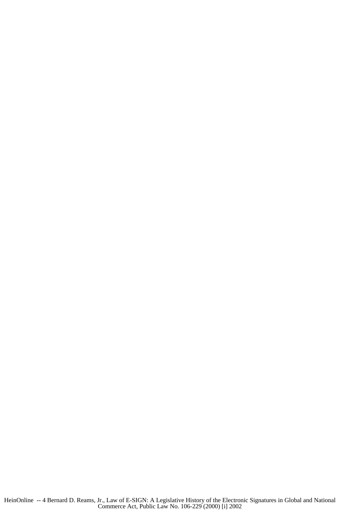HeinOnline -- 4 Bernard D. Reams, Jr., Law of E-SIGN: A Legislative History of the Electronic Signatures in Global and National Commerce Act, Public Law No. 106-229 (2000) [i] 2002